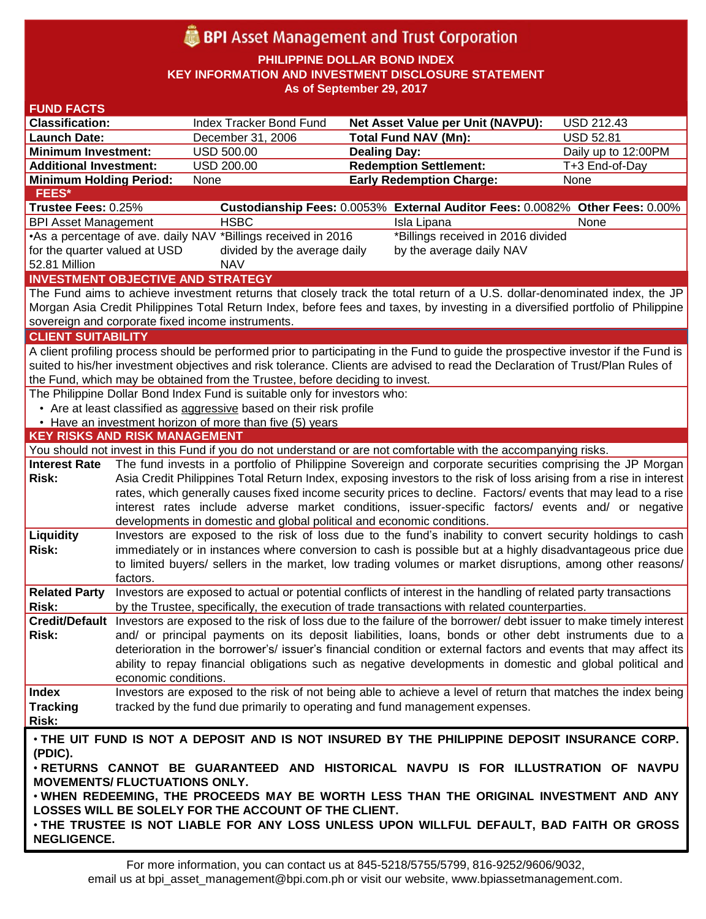# **BPI** Asset Management and Trust Corporation

**PHILIPPINE DOLLAR BOND INDEX**

**KEY INFORMATION AND INVESTMENT DISCLOSURE STATEMENT**

**As of September 29, 2017**

| <b>FUND FACTS</b>                                                                                                                  |                                                                                                                    |                                                                        |                                                                                                                                                                                               |                     |  |
|------------------------------------------------------------------------------------------------------------------------------------|--------------------------------------------------------------------------------------------------------------------|------------------------------------------------------------------------|-----------------------------------------------------------------------------------------------------------------------------------------------------------------------------------------------|---------------------|--|
| <b>Classification:</b>                                                                                                             |                                                                                                                    | Index Tracker Bond Fund                                                | <b>Net Asset Value per Unit (NAVPU):</b>                                                                                                                                                      | <b>USD 212.43</b>   |  |
| <b>Launch Date:</b>                                                                                                                |                                                                                                                    | December 31, 2006                                                      | <b>Total Fund NAV (Mn):</b>                                                                                                                                                                   | <b>USD 52.81</b>    |  |
| <b>Minimum Investment:</b>                                                                                                         |                                                                                                                    | <b>USD 500.00</b>                                                      | <b>Dealing Day:</b>                                                                                                                                                                           | Daily up to 12:00PM |  |
| <b>Additional Investment:</b>                                                                                                      |                                                                                                                    | <b>USD 200.00</b>                                                      | <b>Redemption Settlement:</b>                                                                                                                                                                 | T+3 End-of-Day      |  |
| <b>Minimum Holding Period:</b>                                                                                                     |                                                                                                                    | None                                                                   | <b>Early Redemption Charge:</b>                                                                                                                                                               | None                |  |
| <b>FEES*</b>                                                                                                                       |                                                                                                                    |                                                                        |                                                                                                                                                                                               |                     |  |
| Trustee Fees: 0.25%                                                                                                                |                                                                                                                    |                                                                        | Custodianship Fees: 0.0053% External Auditor Fees: 0.0082% Other Fees: 0.00%                                                                                                                  |                     |  |
| <b>BPI Asset Management</b>                                                                                                        |                                                                                                                    | <b>HSBC</b>                                                            | Isla Lipana                                                                                                                                                                                   | None                |  |
| •As a percentage of ave. daily NAV *Billings received in 2016<br>*Billings received in 2016 divided                                |                                                                                                                    |                                                                        |                                                                                                                                                                                               |                     |  |
| for the quarter valued at USD                                                                                                      |                                                                                                                    | divided by the average daily                                           | by the average daily NAV                                                                                                                                                                      |                     |  |
| 52.81 Million<br><b>NAV</b>                                                                                                        |                                                                                                                    |                                                                        |                                                                                                                                                                                               |                     |  |
| <b>INVESTMENT OBJECTIVE AND STRATEGY</b>                                                                                           |                                                                                                                    |                                                                        |                                                                                                                                                                                               |                     |  |
| The Fund aims to achieve investment returns that closely track the total return of a U.S. dollar-denominated index, the JP         |                                                                                                                    |                                                                        |                                                                                                                                                                                               |                     |  |
| Morgan Asia Credit Philippines Total Return Index, before fees and taxes, by investing in a diversified portfolio of Philippine    |                                                                                                                    |                                                                        |                                                                                                                                                                                               |                     |  |
| sovereign and corporate fixed income instruments.                                                                                  |                                                                                                                    |                                                                        |                                                                                                                                                                                               |                     |  |
| <b>CLIENT SUITABILITY</b>                                                                                                          |                                                                                                                    |                                                                        |                                                                                                                                                                                               |                     |  |
| A client profiling process should be performed prior to participating in the Fund to guide the prospective investor if the Fund is |                                                                                                                    |                                                                        |                                                                                                                                                                                               |                     |  |
| suited to his/her investment objectives and risk tolerance. Clients are advised to read the Declaration of Trust/Plan Rules of     |                                                                                                                    |                                                                        |                                                                                                                                                                                               |                     |  |
| the Fund, which may be obtained from the Trustee, before deciding to invest.                                                       |                                                                                                                    |                                                                        |                                                                                                                                                                                               |                     |  |
| The Philippine Dollar Bond Index Fund is suitable only for investors who:                                                          |                                                                                                                    |                                                                        |                                                                                                                                                                                               |                     |  |
| • Are at least classified as aggressive based on their risk profile                                                                |                                                                                                                    |                                                                        |                                                                                                                                                                                               |                     |  |
| • Have an investment horizon of more than five (5) years                                                                           |                                                                                                                    |                                                                        |                                                                                                                                                                                               |                     |  |
| <b>KEY RISKS AND RISK MANAGEMENT</b>                                                                                               |                                                                                                                    |                                                                        |                                                                                                                                                                                               |                     |  |
| You should not invest in this Fund if you do not understand or are not comfortable with the accompanying risks.                    |                                                                                                                    |                                                                        |                                                                                                                                                                                               |                     |  |
| <b>Interest Rate</b>                                                                                                               |                                                                                                                    |                                                                        | The fund invests in a portfolio of Philippine Sovereign and corporate securities comprising the JP Morgan                                                                                     |                     |  |
| <b>Risk:</b>                                                                                                                       | Asia Credit Philippines Total Return Index, exposing investors to the risk of loss arising from a rise in interest |                                                                        |                                                                                                                                                                                               |                     |  |
|                                                                                                                                    |                                                                                                                    |                                                                        | rates, which generally causes fixed income security prices to decline. Factors/ events that may lead to a rise                                                                                |                     |  |
|                                                                                                                                    |                                                                                                                    |                                                                        | interest rates include adverse market conditions, issuer-specific factors/ events and/ or negative                                                                                            |                     |  |
|                                                                                                                                    |                                                                                                                    | developments in domestic and global political and economic conditions. |                                                                                                                                                                                               |                     |  |
| Liquidity                                                                                                                          |                                                                                                                    |                                                                        | Investors are exposed to the risk of loss due to the fund's inability to convert security holdings to cash                                                                                    |                     |  |
| <b>Risk:</b>                                                                                                                       |                                                                                                                    |                                                                        | immediately or in instances where conversion to cash is possible but at a highly disadvantageous price due                                                                                    |                     |  |
|                                                                                                                                    |                                                                                                                    |                                                                        | to limited buyers/ sellers in the market, low trading volumes or market disruptions, among other reasons/                                                                                     |                     |  |
|                                                                                                                                    | factors.                                                                                                           |                                                                        |                                                                                                                                                                                               |                     |  |
| <b>Related Party</b>                                                                                                               |                                                                                                                    |                                                                        | Investors are exposed to actual or potential conflicts of interest in the handling of related party transactions                                                                              |                     |  |
| Risk:                                                                                                                              |                                                                                                                    |                                                                        | by the Trustee, specifically, the execution of trade transactions with related counterparties.                                                                                                |                     |  |
|                                                                                                                                    |                                                                                                                    |                                                                        | Credit/Default Investors are exposed to the risk of loss due to the failure of the borrower/ debt issuer to make timely interest                                                              |                     |  |
| Risk:                                                                                                                              |                                                                                                                    |                                                                        | and/ or principal payments on its deposit liabilities, loans, bonds or other debt instruments due to a                                                                                        |                     |  |
|                                                                                                                                    |                                                                                                                    |                                                                        | deterioration in the borrower's/ issuer's financial condition or external factors and events that may affect its                                                                              |                     |  |
|                                                                                                                                    | economic conditions.                                                                                               |                                                                        | ability to repay financial obligations such as negative developments in domestic and global political and                                                                                     |                     |  |
| <b>Index</b>                                                                                                                       |                                                                                                                    |                                                                        |                                                                                                                                                                                               |                     |  |
| <b>Tracking</b>                                                                                                                    |                                                                                                                    |                                                                        | Investors are exposed to the risk of not being able to achieve a level of return that matches the index being<br>tracked by the fund due primarily to operating and fund management expenses. |                     |  |
| <b>Risk:</b>                                                                                                                       |                                                                                                                    |                                                                        |                                                                                                                                                                                               |                     |  |
|                                                                                                                                    |                                                                                                                    |                                                                        |                                                                                                                                                                                               |                     |  |
|                                                                                                                                    |                                                                                                                    |                                                                        | . THE UIT FUND IS NOT A DEPOSIT AND IS NOT INSURED BY THE PHILIPPINE DEPOSIT INSURANCE CORP.                                                                                                  |                     |  |
| (PDIC).                                                                                                                            |                                                                                                                    |                                                                        |                                                                                                                                                                                               |                     |  |
| . RETURNS CANNOT BE GUARANTEED AND HISTORICAL NAVPU IS FOR ILLUSTRATION OF NAVPU                                                   |                                                                                                                    |                                                                        |                                                                                                                                                                                               |                     |  |
| <b>MOVEMENTS/ FLUCTUATIONS ONLY.</b>                                                                                               |                                                                                                                    |                                                                        |                                                                                                                                                                                               |                     |  |
| . WHEN REDEEMING, THE PROCEEDS MAY BE WORTH LESS THAN THE ORIGINAL INVESTMENT AND ANY                                              |                                                                                                                    |                                                                        |                                                                                                                                                                                               |                     |  |
| LOSSES WILL BE SOLELY FOR THE ACCOUNT OF THE CLIENT.                                                                               |                                                                                                                    |                                                                        |                                                                                                                                                                                               |                     |  |
| . THE TRUSTEE IS NOT LIABLE FOR ANY LOSS UNLESS UPON WILLFUL DEFAULT, BAD FAITH OR GROSS                                           |                                                                                                                    |                                                                        |                                                                                                                                                                                               |                     |  |
| <b>NEGLIGENCE.</b>                                                                                                                 |                                                                                                                    |                                                                        |                                                                                                                                                                                               |                     |  |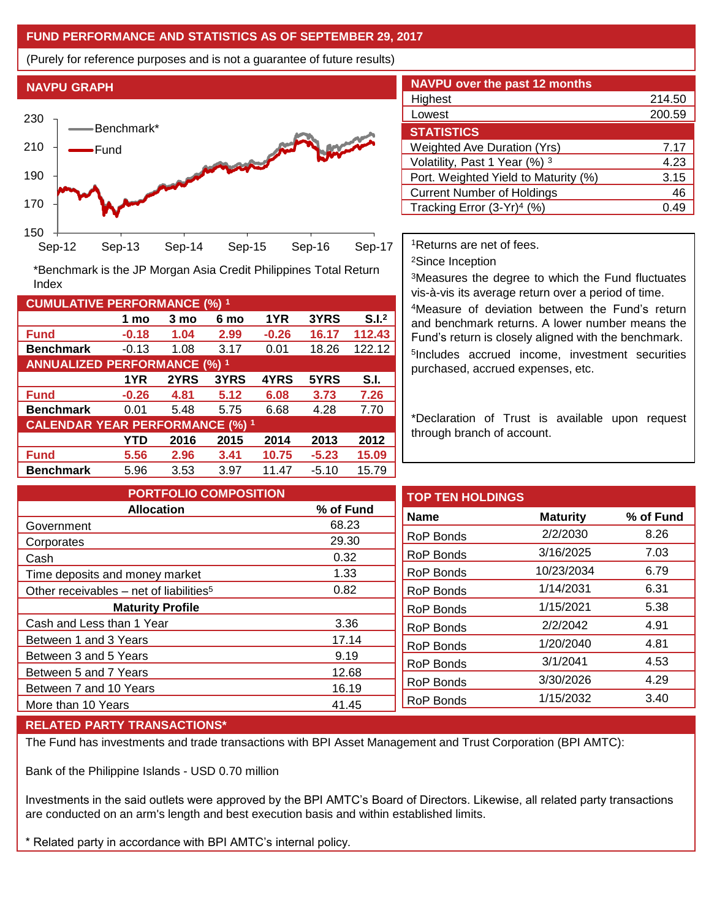## **FUND PERFORMANCE AND STATISTICS AS OF SEPTEMBER 29, 2017**

(Purely for reference purposes and is not a guarantee of future results)

**NAVPU GRAPH**

Index



**Fund -0.18 1.04 2.99 -0.26 16.17 112.43 Benchmark** -0.13 1.08 3.17 0.01 18.26 122.12

\*Benchmark is the JP Morgan Asia Credit Philippines Total Return

**Fund -0.26 4.81 5.12 6.08 3.73 7.26 Benchmark** 0.01 5.48 5.75 6.68 4.28 7.70

**Fund 5.56 2.96 3.41 10.75 -5.23 15.09 Benchmark** 5.96 3.53 3.97 11.47 -5.10 15.79

**1 mo 3 mo 6 mo 1YR 3YRS S.I.<sup>2</sup>**

**1YR 2YRS 3YRS 4YRS 5YRS S.I.**

**YTD 2016 2015 2014 2013 2012**

| <b>NAVPU over the past 12 months</b>   |        |  |  |  |  |
|----------------------------------------|--------|--|--|--|--|
| Highest                                | 214.50 |  |  |  |  |
| Lowest                                 | 200.59 |  |  |  |  |
| <b>STATISTICS</b>                      |        |  |  |  |  |
| <b>Weighted Ave Duration (Yrs)</b>     | 7.17   |  |  |  |  |
| Volatility, Past 1 Year (%) 3          | 4.23   |  |  |  |  |
| Port. Weighted Yield to Maturity (%)   | 3.15   |  |  |  |  |
| <b>Current Number of Holdings</b>      | 46     |  |  |  |  |
| Tracking Error (3-Yr) <sup>4</sup> (%) | .49    |  |  |  |  |

<sup>1</sup>Returns are net of fees.

<sup>2</sup>Since Inception

<sup>3</sup>Measures the degree to which the Fund fluctuates vis-à-vis its average return over a period of time.

<sup>4</sup>Measure of deviation between the Fund's return and benchmark returns. A lower number means the Fund's return is closely aligned with the benchmark. 5 Includes accrued income, investment securities purchased, accrued expenses, etc.

\*Declaration of Trust is available upon request through branch of account.

**TOP TEN HOLDINGS Name Maturity % of Fund** RoP Bonds 2/2/2030 8.26 RoP Bonds 3/16/2025 7.03 RoP Bonds 10/23/2034 6.79 RoP Bonds 1/14/2031 6.31 RoP Bonds 1/15/2021 5.38 RoP Bonds 2/2/2042 4.91 RoP Bonds 1/20/2040 4.81 RoP Bonds 3/1/2041 4.53 RoP Bonds 3/30/2026 4.29 RoP Bonds 1/15/2032 3.40 **PORTFOLIO COMPOSITION Allocation % of Fund** Government 68.23 Corporates 29.30 Cash 0.32 Time deposits and money market 1.33 Other receivables – net of liabilities<sup>5</sup>  $0.82$ **Maturity Profile** Cash and Less than 1 Year 3.36 Between 1 and 3 Years 17.14 Between 3 and 5 Years 6 and 10 and 10 and 10 and 10 and 10 and 10 and 10 and 10 and 10 and 10 and 10 and 10 and 10 and 10 and 10 and 10 and 10 and 10 and 10 and 10 and 10 and 10 and 10 and 10 and 10 and 10 and 10 and 10 an Between 5 and 7 Years 12.68 Between 7 and 10 Years 16.19 More than 10 Years 41.45

## **RELATED PARTY TRANSACTIONS\***

**CUMULATIVE PERFORMANCE (%) <sup>1</sup>**

**ANNUALIZED PERFORMANCE (%) <sup>1</sup>**

**CALENDAR YEAR PERFORMANCE (%) <sup>1</sup>**

The Fund has investments and trade transactions with BPI Asset Management and Trust Corporation (BPI AMTC):

Bank of the Philippine Islands - USD 0.70 million

Investments in the said outlets were approved by the BPI AMTC's Board of Directors. Likewise, all related party transactions are conducted on an arm's length and best execution basis and within established limits.

\* Related party in accordance with BPI AMTC's internal policy.